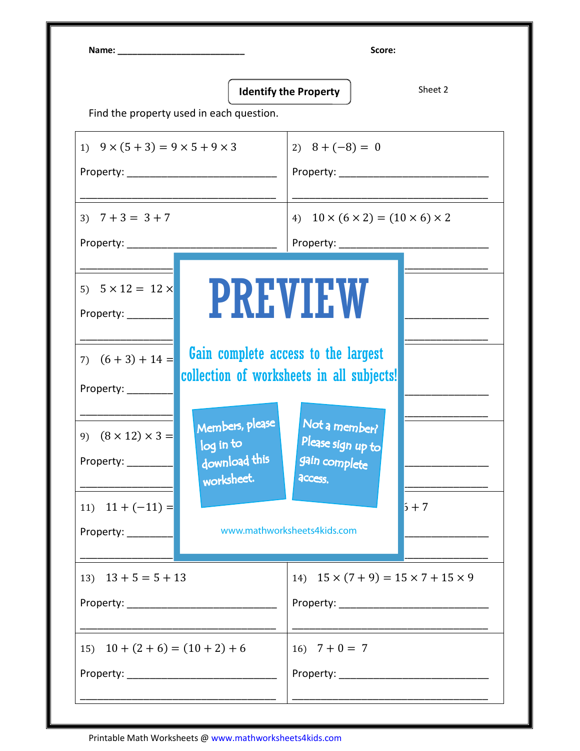|                                                                                              | Find the property used in each question.                    | <b>Identify the Property</b>                                                                                                           | Sheet 2 |  |
|----------------------------------------------------------------------------------------------|-------------------------------------------------------------|----------------------------------------------------------------------------------------------------------------------------------------|---------|--|
| 1) $9 \times (5 + 3) = 9 \times 5 + 9 \times 3$                                              |                                                             | 2) $8 + (-8) = 0$                                                                                                                      |         |  |
| 3) $7 + 3 = 3 + 7$                                                                           |                                                             | 4) $10 \times (6 \times 2) = (10 \times 6) \times 2$<br>Property: ______________<br><u> 1989 - Johann Barn, mars eta bat eta bat e</u> |         |  |
| 5) $5 \times 12 = 12 \times$<br>Property: _________<br>7) $(6+3)+14=$<br>Property: _________ | collection of worksheets in all subjects!                   | <b>PREVIEW</b><br>Gain complete access to the largest                                                                                  |         |  |
| 9) $(8 \times 12) \times 3 =$<br>Property: ________                                          | Members, please<br>log in to<br>download this<br>worksheet. | Not a member?<br>Please sign up to<br>gain complete<br>access.                                                                         | $5+7$   |  |
|                                                                                              |                                                             |                                                                                                                                        |         |  |
| 11) $11 + (-11) =$<br>Property: _________<br>13) $13 + 5 = 5 + 13$                           |                                                             | www.mathworksheets4kids.com<br>14) $15 \times (7 + 9) = 15 \times 7 + 15 \times 9$                                                     |         |  |
| 15) $10 + (2 + 6) = (10 + 2) + 6$                                                            |                                                             | 16) $7 + 0 = 7$                                                                                                                        |         |  |

Printable Math Worksheets @ www.mathworksheets4kids.com